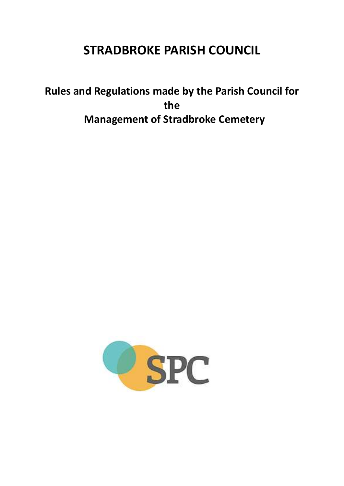## **STRADBROKE PARISH COUNCIL**

**Rules and Regulations made by the Parish Council for the Management of Stradbroke Cemetery**

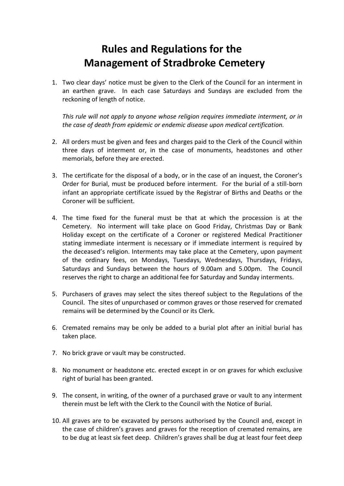## **Rules and Regulations for the Management of Stradbroke Cemetery**

1. Two clear days' notice must be given to the Clerk of the Council for an interment in an earthen grave. In each case Saturdays and Sundays are excluded from the reckoning of length of notice.

*This rule will not apply to anyone whose religion requires immediate interment, or in the case of death from epidemic or endemic disease upon medical certification.*

- 2. All orders must be given and fees and charges paid to the Clerk of the Council within three days of interment or, in the case of monuments, headstones and other memorials, before they are erected.
- 3. The certificate for the disposal of a body, or in the case of an inquest, the Coroner's Order for Burial, must be produced before interment. For the burial of a still-born infant an appropriate certificate issued by the Registrar of Births and Deaths or the Coroner will be sufficient.
- 4. The time fixed for the funeral must be that at which the procession is at the Cemetery. No interment will take place on Good Friday, Christmas Day or Bank Holiday except on the certificate of a Coroner or registered Medical Practitioner stating immediate interment is necessary or if immediate interment is required by the deceased's religion. Interments may take place at the Cemetery, upon payment of the ordinary fees, on Mondays, Tuesdays, Wednesdays, Thursdays, Fridays, Saturdays and Sundays between the hours of 9.00am and 5.00pm. The Council reserves the right to charge an additional fee for Saturday and Sunday interments.
- 5. Purchasers of graves may select the sites thereof subject to the Regulations of the Council. The sites of unpurchased or common graves or those reserved for cremated remains will be determined by the Council or its Clerk.
- 6. Cremated remains may be only be added to a burial plot after an initial burial has taken place.
- 7. No brick grave or vault may be constructed.
- 8. No monument or headstone etc. erected except in or on graves for which exclusive right of burial has been granted.
- 9. The consent, in writing, of the owner of a purchased grave or vault to any interment therein must be left with the Clerk to the Council with the Notice of Burial.
- 10. All graves are to be excavated by persons authorised by the Council and, except in the case of children's graves and graves for the reception of cremated remains, are to be dug at least six feet deep. Children's graves shall be dug at least four feet deep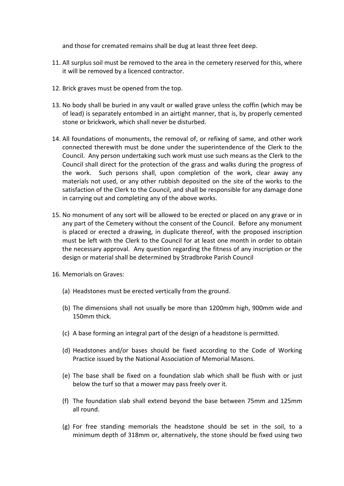and those for cremated remains shall be dug at least three feet deep.

- 11. All surplus soil must be removed to the area in the cemetery reserved for this, where it will be removed by a licenced contractor.
- 12. Brick graves must be opened from the top.
- 13. No body shall be buried in any vault or walled grave unless the coffin (which may be of lead) is separately entombed in an airtight manner, that is, by properly cemented stone or brickwork, which shall never be disturbed.
- 14. All foundations of monuments, the removal of, or refixing of same, and other work connected therewith must be done under the superintendence of the Clerk to the Council. Any person undertaking such work must use such means as the Clerk to the Council shall direct for the protection of the grass and walks during the progress of the work. Such persons shall, upon completion of the work, clear away any materials not used, or any other rubbish deposited on the site of the works to the satisfaction of the Clerk to the Council, and shall be responsible for any damage done in carrying out and completing any of the above works.
- 15. No monument of any sort will be allowed to be erected or placed on any grave or in any part of the Cemetery without the consent of the Council. Before any monument is placed or erected a drawing, in duplicate thereof, with the proposed inscription must be left with the Clerk to the Council for at least one month in order to obtain the necessary approval. Any question regarding the fitness of any inscription or the design or material shall be determined by Stradbroke Parish Council
- 16. Memorials on Graves:
	- (a) Headstones must be erected vertically from the ground.
	- (b) The dimensions shall not usually be more than 1200mm high, 900mm wide and 150mm thick.
	- (c) A base forming an integral part of the design of a headstone is permitted.
	- (d) Headstones and/or bases should be fixed according to the Code of Working Practice issued by the National Association of Memorial Masons.
	- (e) The base shall be fixed on a foundation slab which shall be flush with or just below the turf so that a mower may pass freely over it.
	- (f) The foundation slab shall extend beyond the base between 75mm and 125mm all round.
	- (g) For free standing memorials the headstone should be set in the soil, to a minimum depth of 318mm or, alternatively, the stone should be fixed using two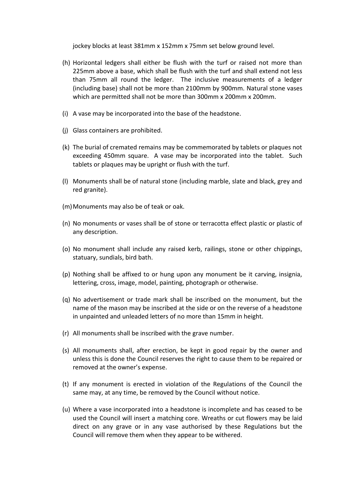jockey blocks at least 381mm x 152mm x 75mm set below ground level.

- (h) Horizontal ledgers shall either be flush with the turf or raised not more than 225mm above a base, which shall be flush with the turf and shall extend not less than 75mm all round the ledger. The inclusive measurements of a ledger (including base) shall not be more than 2100mm by 900mm. Natural stone vases which are permitted shall not be more than 300mm x 200mm x 200mm.
- (i) A vase may be incorporated into the base of the headstone.
- (j) Glass containers are prohibited.
- (k) The burial of cremated remains may be commemorated by tablets or plaques not exceeding 450mm square. A vase may be incorporated into the tablet. Such tablets or plaques may be upright or flush with the turf.
- (l) Monuments shall be of natural stone (including marble, slate and black, grey and red granite).
- (m) Monuments may also be of teak or oak.
- (n) No monuments or vases shall be of stone or terracotta effect plastic or plastic of any description.
- (o) No monument shall include any raised kerb, railings, stone or other chippings, statuary, sundials, bird bath.
- (p) Nothing shall be affixed to or hung upon any monument be it carving, insignia, lettering, cross, image, model, painting, photograph or otherwise.
- (q) No advertisement or trade mark shall be inscribed on the monument, but the name of the mason may be inscribed at the side or on the reverse of a headstone in unpainted and unleaded letters of no more than 15mm in height.
- (r) All monuments shall be inscribed with the grave number.
- (s) All monuments shall, after erection, be kept in good repair by the owner and unless this is done the Council reserves the right to cause them to be repaired or removed at the owner's expense.
- (t) If any monument is erected in violation of the Regulations of the Council the same may, at any time, be removed by the Council without notice.
- (u) Where a vase incorporated into a headstone is incomplete and has ceased to be used the Council will insert a matching core. Wreaths or cut flowers may be laid direct on any grave or in any vase authorised by these Regulations but the Council will remove them when they appear to be withered.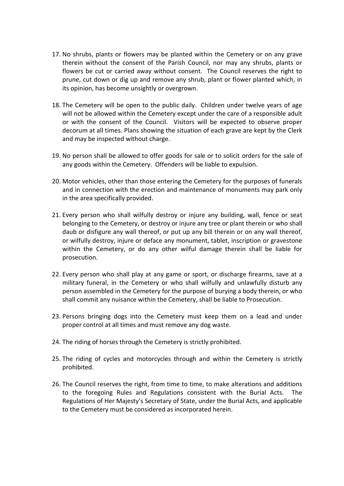- 17. No shrubs, plants or flowers may be planted within the Cemetery or on any grave therein without the consent of the Parish Council, nor may any shrubs, plants or flowers be cut or carried away without consent. The Council reserves the right to prune, cut down or dig up and remove any shrub, plant or flower planted which, in its opinion, has become unsightly or overgrown.
- 18. The Cemetery will be open to the public daily. Children under twelve years of age will not be allowed within the Cemetery except under the care of a responsible adult or with the consent of the Council. Visitors will be expected to observe proper decorum at all times. Plans showing the situation of each grave are kept by the Clerk and may be inspected without charge.
- 19. No person shall be allowed to offer goods for sale or to solicit orders for the sale of any goods within the Cemetery. Offenders will be liable to expulsion.
- 20. Motor vehicles, other than those entering the Cemetery for the purposes of funerals and in connection with the erection and maintenance of monuments may park only in the area specifically provided.
- 21. Every person who shall wilfully destroy or injure any building, wall, fence or seat belonging to the Cemetery, or destroy or injure any tree or plant therein or who shall daub or disfigure any wall thereof, or put up any bill therein or on any wall thereof, or wilfully destroy, injure or deface any monument, tablet, inscription or gravestone within the Cemetery, or do any other wilful damage therein shall be liable for prosecution.
- 22. Every person who shall play at any game or sport, or discharge firearms, save at a military funeral, in the Cemetery or who shall wilfully and unlawfully disturb any person assembled in the Cemetery for the purpose of burying a body therein, or who shall commit any nuisance within the Cemetery, shall be liable to Prosecution.
- 23. Persons bringing dogs into the Cemetery must keep them on a lead and under proper control at all times and must remove any dog waste.
- 24. The riding of horses through the Cemetery is strictly prohibited.
- 25. The riding of cycles and motorcycles through and within the Cemetery is strictly prohibited.
- 26. The Council reserves the right, from time to time, to make alterations and additions to the foregoing Rules and Regulations consistent with the Burial Acts. The Regulations of Her Majesty's Secretary of State, under the Burial Acts, and applicable to the Cemetery must be considered as incorporated herein.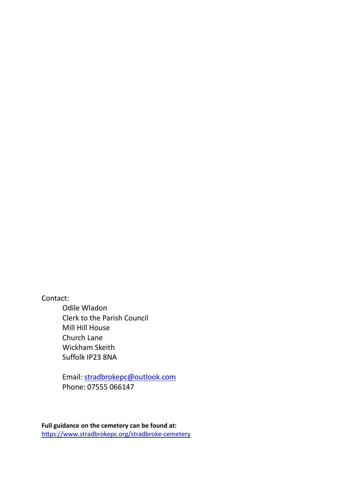Contact:

Odile Wladon Clerk to the Parish Council Mill Hill House Church Lane Wickham Skeith Suffolk IP23 8NA

Email: [stradbrokepc@outlook.com](mailto:stradbrokepc@outlook.com) Phone: 07555 066147